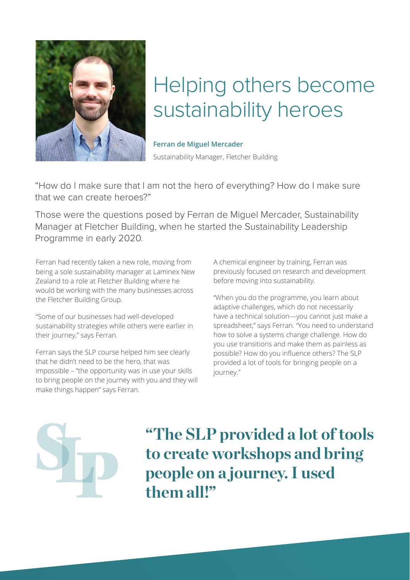

## Helping others become sustainability heroes

## **Ferran de Miguel Mercader**

Sustainability Manager, Fletcher Building

"How do I make sure that I am not the hero of everything? How do I make sure that we can create heroes?"

Those were the questions posed by Ferran de Miguel Mercader, Sustainability Manager at Fletcher Building, when he started the Sustainability Leadership Programme in early 2020.

Ferran had recently taken a new role, moving from being a sole sustainability manager at Laminex New Zealand to a role at Fletcher Building where he would be working with the many businesses across the Fletcher Building Group.

"Some of our businesses had well-developed sustainability strategies while others were earlier in their journey," says Ferran.

Ferran says the SLP course helped him see clearly that he didn't need to be the hero, that was impossible – "the opportunity was in use your skills to bring people on the journey with you and they will make things happen" says Ferran.

A chemical engineer by training, Ferran was previously focused on research and development before moving into sustainability.

"When you do the programme, you learn about adaptive challenges, which do not necessarily have a technical solution—you cannot just make a spreadsheet," says Ferran. "You need to understand how to solve a systems change challenge. How do you use transitions and make them as painless as possible? How do you influence others? The SLP provided a lot of tools for bringing people on a journey."



**"The SLP provided a lot of tools to create workshops and bring people on a journey. I used them all!"**